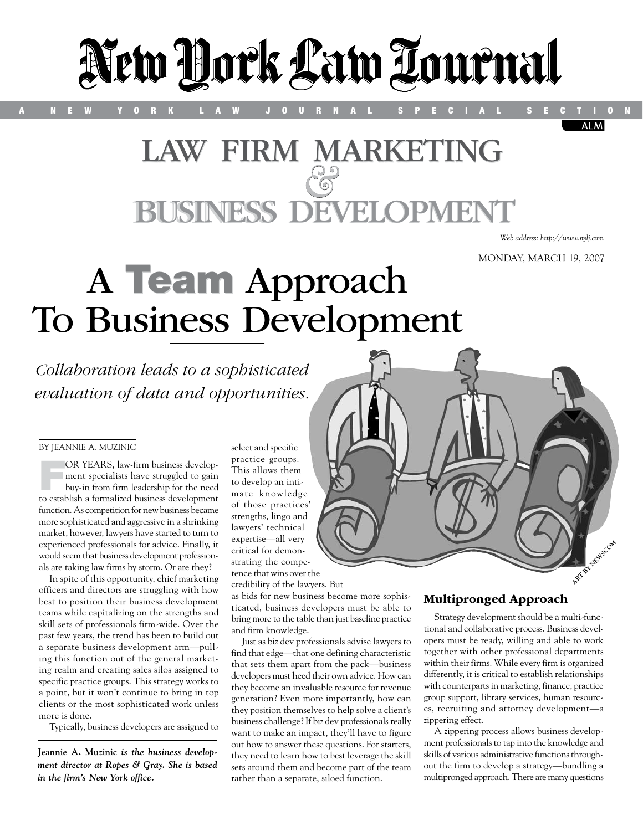

# LAW FIRM MARKETING **JSINESS DEVELOPMEN**

*Web address: http://www.nylj.com*

**ALM** 

MONDAY, MARCH 19, 2007

# A Team Approach To Business Development

*Collaboration leads to a sophisticated evaluation of data and opportunities.*

#### By Jeannie A. Muzinic

OR YEARS, law-firm business develop-<br>ment specialists have struggled to gain<br>buy-in from firm leadership for the need<br>to exteklish formalized business dural approach ment specialists have struggled to gain buy-in from firm leadership for the need to establish a formalized business development function. As competition for new business became more sophisticated and aggressive in a shrinking market, however, lawyers have started to turn to experienced professionals for advice. Finally, it would seem that business development professionals are taking law firms by storm. Or are they?

In spite of this opportunity, chief marketing officers and directors are struggling with how best to position their business development teams while capitalizing on the strengths and skill sets of professionals firm-wide. Over the past few years, the trend has been to build out a separate business development arm—pulling this function out of the general marketing realm and creating sales silos assigned to specific practice groups. This strategy works to a point, but it won't continue to bring in top clients or the most sophisticated work unless more is done.

Typically, business developers are assigned to

**Jeannie A. Muzinic** *is the business development director at Ropes & Gray. She is based in the firm's New York office.*

select and specific practice groups. This allows them to develop an intimate knowledge of those practices' strengths, lingo and lawyers' technical expertise—all very critical for demonstrating the competence that wins over the

credibility of the lawyers. But

as bids for new business become more sophisticated, business developers must be able to bring more to the table than just baseline practice and firm knowledge.

Just as biz dev professionals advise lawyers to find that edge—that one defining characteristic that sets them apart from the pack—business developers must heed their own advice. How can they become an invaluable resource for revenue generation? Even more importantly, how can they position themselves to help solve a client's business challenge? If biz dev professionals really want to make an impact, they'll have to figure out how to answer these questions. For starters, they need to learn how to best leverage the skill sets around them and become part of the team rather than a separate, siloed function.



## Multipronged Approach

Strategy development should be a multi-functional and collaborative process. Business developers must be ready, willing and able to work together with other professional departments within their firms. While every firm is organized differently, it is critical to establish relationships with counterparts in marketing, finance, practice group support, library services, human resources, recruiting and attorney development—a zippering effect.

A zippering process allows business development professionals to tap into the knowledge and skills of various administrative functions throughout the firm to develop a strategy—bundling a multipronged approach. There are many questions